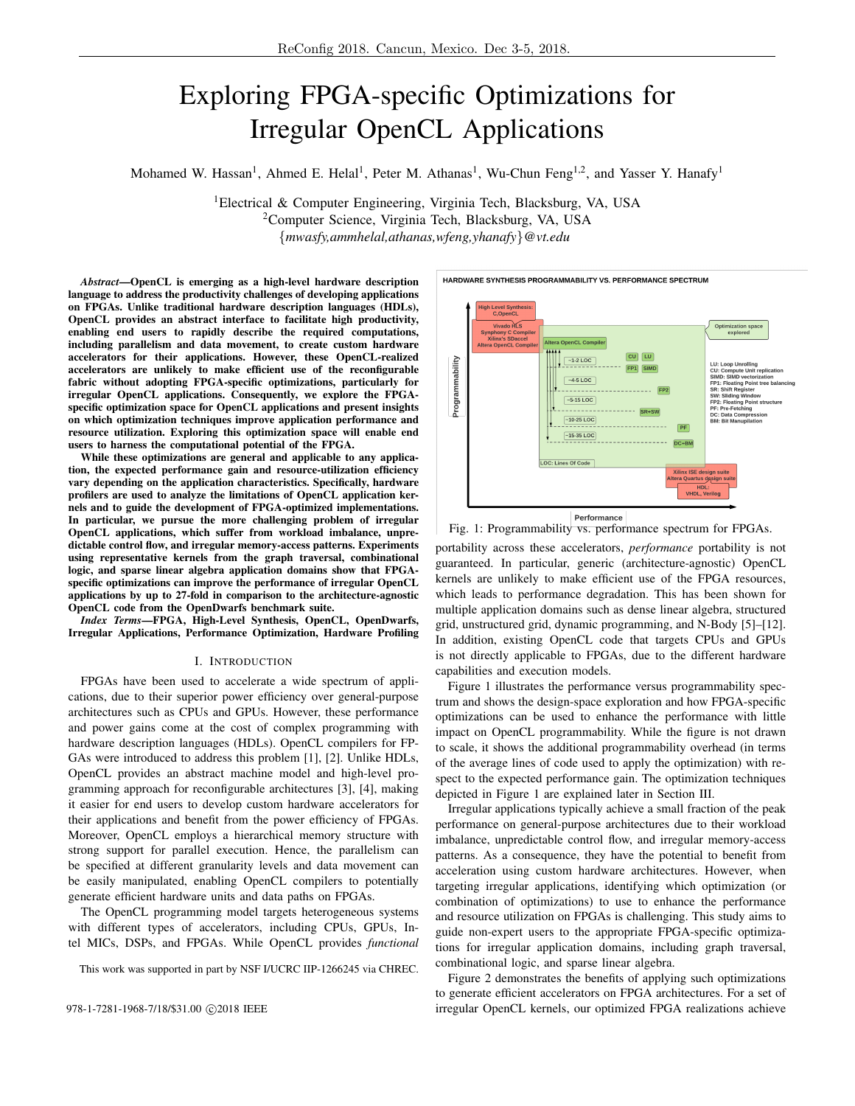# Exploring FPGA-specific Optimizations for Irregular OpenCL Applications

Mohamed W. Hassan<sup>1</sup>, Ahmed E. Helal<sup>1</sup>, Peter M. Athanas<sup>1</sup>, Wu-Chun Feng<sup>1,2</sup>, and Yasser Y. Hanafy<sup>1</sup>

<sup>1</sup>Electrical & Computer Engineering, Virginia Tech, Blacksburg, VA, USA <sup>2</sup>Computer Science, Virginia Tech, Blacksburg, VA, USA {*mwasfy,ammhelal,athanas,wfeng,yhanafy*}*@vt.edu*

*Abstract*—OpenCL is emerging as a high-level hardware description language to address the productivity challenges of developing applications on FPGAs. Unlike traditional hardware description languages (HDLs), OpenCL provides an abstract interface to facilitate high productivity, enabling end users to rapidly describe the required computations, including parallelism and data movement, to create custom hardware accelerators for their applications. However, these OpenCL-realized accelerators are unlikely to make efficient use of the reconfigurable fabric without adopting FPGA-specific optimizations, particularly for irregular OpenCL applications. Consequently, we explore the FPGAspecific optimization space for OpenCL applications and present insights on which optimization techniques improve application performance and resource utilization. Exploring this optimization space will enable end users to harness the computational potential of the FPGA.

While these optimizations are general and applicable to any application, the expected performance gain and resource-utilization efficiency vary depending on the application characteristics. Specifically, hardware profilers are used to analyze the limitations of OpenCL application kernels and to guide the development of FPGA-optimized implementations. In particular, we pursue the more challenging problem of irregular OpenCL applications, which suffer from workload imbalance, unpredictable control flow, and irregular memory-access patterns. Experiments using representative kernels from the graph traversal, combinational logic, and sparse linear algebra application domains show that FPGAspecific optimizations can improve the performance of irregular OpenCL applications by up to 27-fold in comparison to the architecture-agnostic OpenCL code from the OpenDwarfs benchmark suite.

*Index Terms*—FPGA, High-Level Synthesis, OpenCL, OpenDwarfs, Irregular Applications, Performance Optimization, Hardware Profiling

#### I. INTRODUCTION

FPGAs have been used to accelerate a wide spectrum of applications, due to their superior power efficiency over general-purpose architectures such as CPUs and GPUs. However, these performance and power gains come at the cost of complex programming with hardware description languages (HDLs). OpenCL compilers for FP-GAs were introduced to address this problem [1], [2]. Unlike HDLs, OpenCL provides an abstract machine model and high-level programming approach for reconfigurable architectures [3], [4], making it easier for end users to develop custom hardware accelerators for their applications and benefit from the power efficiency of FPGAs. Moreover, OpenCL employs a hierarchical memory structure with strong support for parallel execution. Hence, the parallelism can be specified at different granularity levels and data movement can be easily manipulated, enabling OpenCL compilers to potentially generate efficient hardware units and data paths on FPGAs.

The OpenCL programming model targets heterogeneous systems with different types of accelerators, including CPUs, GPUs, Intel MICs, DSPs, and FPGAs. While OpenCL provides *functional*

This work was supported in part by NSF I/UCRC IIP-1266245 via CHREC.

gh Level Synth<br>C,OpenCL Vivado HLS Optimization sp<br>explored **Synphony C Compiler<br>Xilinx's SDaccel**  $CU$   $LU$  $-1-2$  LOC Programmability LU: Loop Unrolling<br>CU: Compute Unit replication<br>SIMD: SIMD vectorization<br>FP1: Floating Point tree baland<br>SR: Shift Register FP1 SIMD  $-4.5$  LOC SR: Shift Register<br>SW: Sliding Window<br>FP2: Floating Point structure<br>PF: Pre-Fetching<br>DC: Data Compression<br>BM: Bit Manupilation  $-5-15$  LOC  $-10-25$  LOC  $PF$  $-15-35$  LOC DC+BM LOC: Lines Of Code Performance

HARDWARE SYNTHESIS PROGRAMMABILITY VS. PERFORMANCE SPECTRUM

Fig. 1: Programmability vs. performance spectrum for FPGAs.

portability across these accelerators, *performance* portability is not guaranteed. In particular, generic (architecture-agnostic) OpenCL kernels are unlikely to make efficient use of the FPGA resources, which leads to performance degradation. This has been shown for multiple application domains such as dense linear algebra, structured grid, unstructured grid, dynamic programming, and N-Body [5]–[12]. In addition, existing OpenCL code that targets CPUs and GPUs is not directly applicable to FPGAs, due to the different hardware capabilities and execution models.

Figure 1 illustrates the performance versus programmability spectrum and shows the design-space exploration and how FPGA-specific optimizations can be used to enhance the performance with little impact on OpenCL programmability. While the figure is not drawn to scale, it shows the additional programmability overhead (in terms of the average lines of code used to apply the optimization) with respect to the expected performance gain. The optimization techniques depicted in Figure 1 are explained later in Section III.

Irregular applications typically achieve a small fraction of the peak performance on general-purpose architectures due to their workload imbalance, unpredictable control flow, and irregular memory-access patterns. As a consequence, they have the potential to benefit from acceleration using custom hardware architectures. However, when targeting irregular applications, identifying which optimization (or combination of optimizations) to use to enhance the performance and resource utilization on FPGAs is challenging. This study aims to guide non-expert users to the appropriate FPGA-specific optimizations for irregular application domains, including graph traversal, combinational logic, and sparse linear algebra.

Figure 2 demonstrates the benefits of applying such optimizations to generate efficient accelerators on FPGA architectures. For a set of 978-1-7281-1968-7/18/\$31.00 ©2018 IEEE irregular OpenCL kernels, our optimized FPGA realizations achieve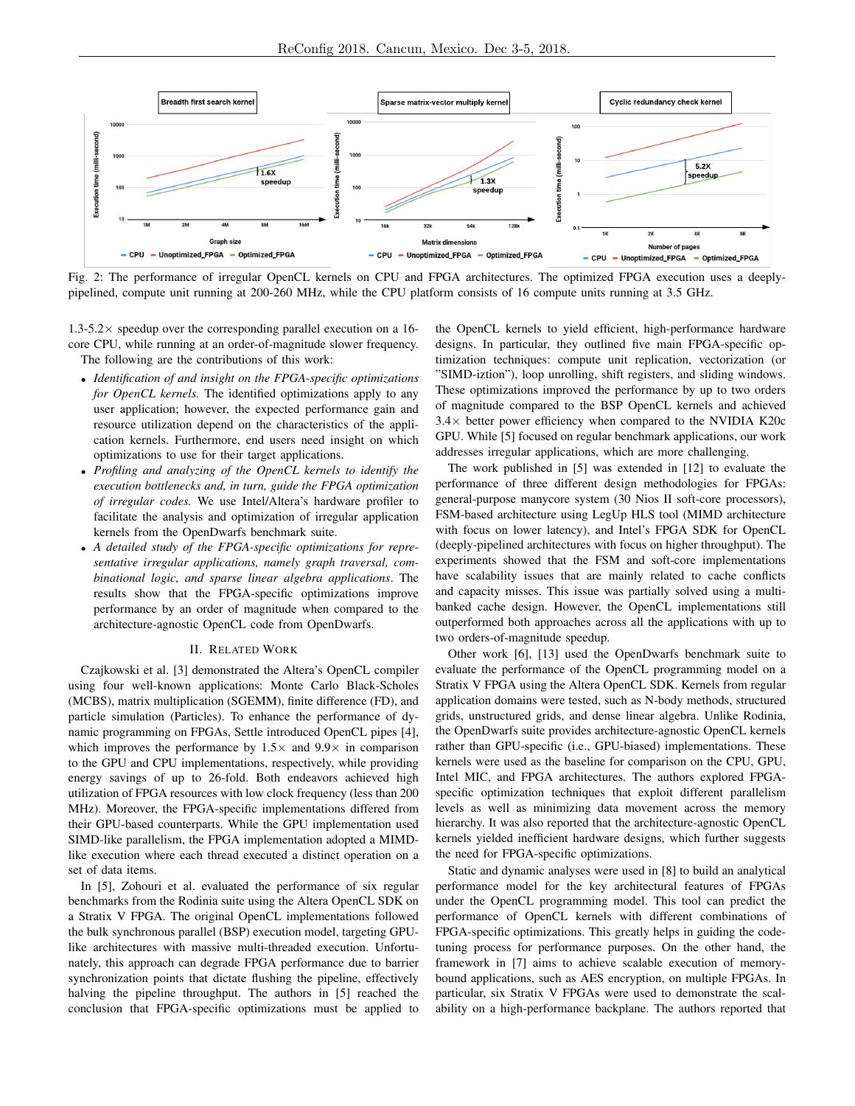

Fig. 2: The performance of irregular OpenCL kernels on CPU and FPGA architectures. The optimized FPGA execution uses a deeplypipelined, compute unit running at 200-260 MHz, while the CPU platform consists of 16 compute units running at 3.5 GHz.

 $1.3-5.2\times$  speedup over the corresponding parallel execution on a 16core CPU, while running at an order-of-magnitude slower frequency. The following are the contributions of this work:

- *Identification of and insight on the FPGA-specific optimizations for OpenCL kernels.* The identified optimizations apply to any user application; however, the expected performance gain and resource utilization depend on the characteristics of the application kernels. Furthermore, end users need insight on which optimizations to use for their target applications.
- *Profiling and analyzing of the OpenCL kernels to identify the execution bottlenecks and, in turn, guide the FPGA optimization of irregular codes.* We use Intel/Altera's hardware profiler to facilitate the analysis and optimization of irregular application kernels from the OpenDwarfs benchmark suite.
- *A detailed study of the FPGA-specific optimizations for representative irregular applications, namely graph traversal, combinational logic, and sparse linear algebra applications*. The results show that the FPGA-specific optimizations improve performance by an order of magnitude when compared to the architecture-agnostic OpenCL code from OpenDwarfs.

# II. RELATED WORK

Czajkowski et al. [3] demonstrated the Altera's OpenCL compiler using four well-known applications: Monte Carlo Black-Scholes (MCBS), matrix multiplication (SGEMM), finite difference (FD), and particle simulation (Particles). To enhance the performance of dynamic programming on FPGAs, Settle introduced OpenCL pipes [4], which improves the performance by  $1.5\times$  and  $9.9\times$  in comparison to the GPU and CPU implementations, respectively, while providing energy savings of up to 26-fold. Both endeavors achieved high utilization of FPGA resources with low clock frequency (less than 200 MHz). Moreover, the FPGA-specific implementations differed from their GPU-based counterparts. While the GPU implementation used SIMD-like parallelism, the FPGA implementation adopted a MIMDlike execution where each thread executed a distinct operation on a set of data items.

In [5], Zohouri et al. evaluated the performance of six regular benchmarks from the Rodinia suite using the Altera OpenCL SDK on a Stratix V FPGA. The original OpenCL implementations followed the bulk synchronous parallel (BSP) execution model, targeting GPUlike architectures with massive multi-threaded execution. Unfortunately, this approach can degrade FPGA performance due to barrier synchronization points that dictate flushing the pipeline, effectively halving the pipeline throughput. The authors in [5] reached the conclusion that FPGA-specific optimizations must be applied to the OpenCL kernels to yield efficient, high-performance hardware designs. In particular, they outlined five main FPGA-specific optimization techniques: compute unit replication, vectorization (or "SIMD-iztion"), loop unrolling, shift registers, and sliding windows. These optimizations improved the performance by up to two orders of magnitude compared to the BSP OpenCL kernels and achieved 3.4× better power efficiency when compared to the NVIDIA K20c GPU. While [5] focused on regular benchmark applications, our work addresses irregular applications, which are more challenging.

The work published in [5] was extended in [12] to evaluate the performance of three different design methodologies for FPGAs: general-purpose manycore system (30 Nios II soft-core processors), FSM-based architecture using LegUp HLS tool (MIMD architecture with focus on lower latency), and Intel's FPGA SDK for OpenCL (deeply-pipelined architectures with focus on higher throughput). The experiments showed that the FSM and soft-core implementations have scalability issues that are mainly related to cache conflicts and capacity misses. This issue was partially solved using a multibanked cache design. However, the OpenCL implementations still outperformed both approaches across all the applications with up to two orders-of-magnitude speedup.

Other work [6], [13] used the OpenDwarfs benchmark suite to evaluate the performance of the OpenCL programming model on a Stratix V FPGA using the Altera OpenCL SDK. Kernels from regular application domains were tested, such as N-body methods, structured grids, unstructured grids, and dense linear algebra. Unlike Rodinia, the OpenDwarfs suite provides architecture-agnostic OpenCL kernels rather than GPU-specific (i.e., GPU-biased) implementations. These kernels were used as the baseline for comparison on the CPU, GPU, Intel MIC, and FPGA architectures. The authors explored FPGAspecific optimization techniques that exploit different parallelism levels as well as minimizing data movement across the memory hierarchy. It was also reported that the architecture-agnostic OpenCL kernels yielded inefficient hardware designs, which further suggests the need for FPGA-specific optimizations.

Static and dynamic analyses were used in [8] to build an analytical performance model for the key architectural features of FPGAs under the OpenCL programming model. This tool can predict the performance of OpenCL kernels with different combinations of FPGA-specific optimizations. This greatly helps in guiding the codetuning process for performance purposes. On the other hand, the framework in [7] aims to achieve scalable execution of memorybound applications, such as AES encryption, on multiple FPGAs. In particular, six Stratix V FPGAs were used to demonstrate the scalability on a high-performance backplane. The authors reported that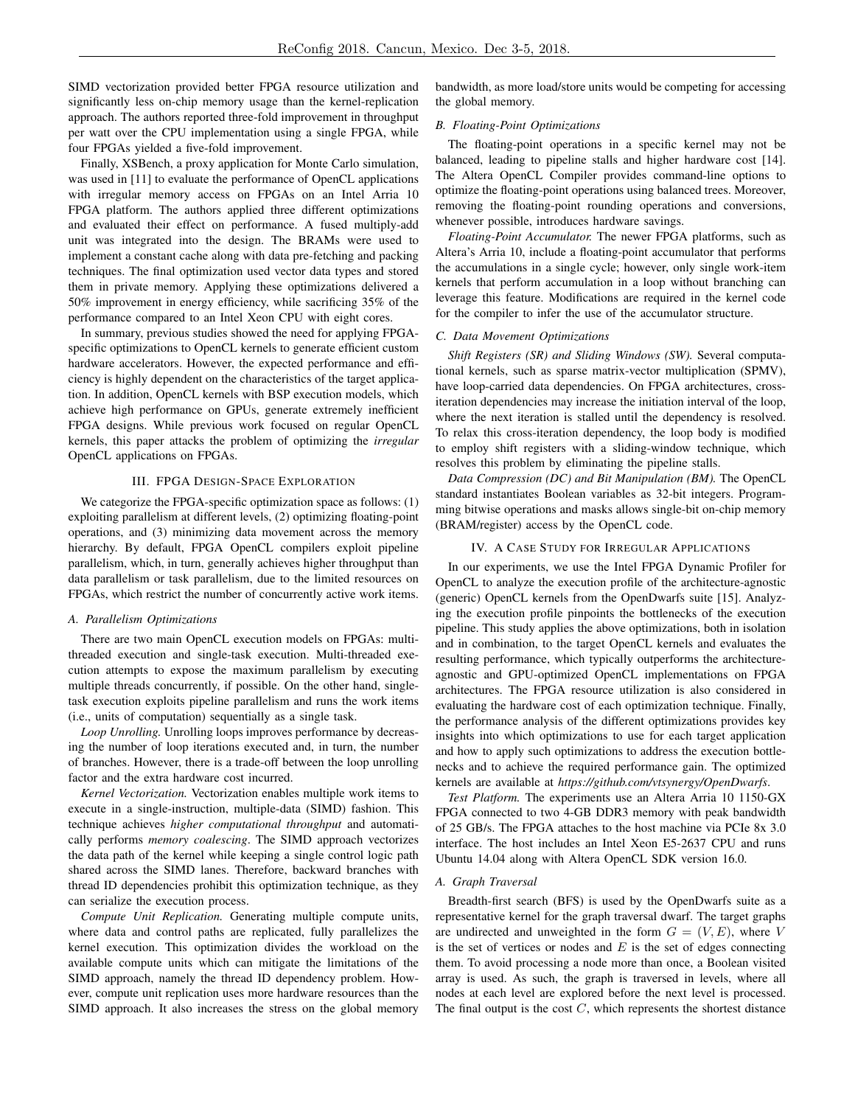SIMD vectorization provided better FPGA resource utilization and significantly less on-chip memory usage than the kernel-replication approach. The authors reported three-fold improvement in throughput per watt over the CPU implementation using a single FPGA, while four FPGAs yielded a five-fold improvement.

Finally, XSBench, a proxy application for Monte Carlo simulation, was used in [11] to evaluate the performance of OpenCL applications with irregular memory access on FPGAs on an Intel Arria 10 FPGA platform. The authors applied three different optimizations and evaluated their effect on performance. A fused multiply-add unit was integrated into the design. The BRAMs were used to implement a constant cache along with data pre-fetching and packing techniques. The final optimization used vector data types and stored them in private memory. Applying these optimizations delivered a 50% improvement in energy efficiency, while sacrificing 35% of the performance compared to an Intel Xeon CPU with eight cores.

In summary, previous studies showed the need for applying FPGAspecific optimizations to OpenCL kernels to generate efficient custom hardware accelerators. However, the expected performance and efficiency is highly dependent on the characteristics of the target application. In addition, OpenCL kernels with BSP execution models, which achieve high performance on GPUs, generate extremely inefficient FPGA designs. While previous work focused on regular OpenCL kernels, this paper attacks the problem of optimizing the *irregular* OpenCL applications on FPGAs.

# III. FPGA DESIGN-SPACE EXPLORATION

We categorize the FPGA-specific optimization space as follows: (1) exploiting parallelism at different levels, (2) optimizing floating-point operations, and (3) minimizing data movement across the memory hierarchy. By default, FPGA OpenCL compilers exploit pipeline parallelism, which, in turn, generally achieves higher throughput than data parallelism or task parallelism, due to the limited resources on FPGAs, which restrict the number of concurrently active work items.

#### *A. Parallelism Optimizations*

There are two main OpenCL execution models on FPGAs: multithreaded execution and single-task execution. Multi-threaded execution attempts to expose the maximum parallelism by executing multiple threads concurrently, if possible. On the other hand, singletask execution exploits pipeline parallelism and runs the work items (i.e., units of computation) sequentially as a single task.

*Loop Unrolling.* Unrolling loops improves performance by decreasing the number of loop iterations executed and, in turn, the number of branches. However, there is a trade-off between the loop unrolling factor and the extra hardware cost incurred.

*Kernel Vectorization.* Vectorization enables multiple work items to execute in a single-instruction, multiple-data (SIMD) fashion. This technique achieves *higher computational throughput* and automatically performs *memory coalescing*. The SIMD approach vectorizes the data path of the kernel while keeping a single control logic path shared across the SIMD lanes. Therefore, backward branches with thread ID dependencies prohibit this optimization technique, as they can serialize the execution process.

*Compute Unit Replication.* Generating multiple compute units, where data and control paths are replicated, fully parallelizes the kernel execution. This optimization divides the workload on the available compute units which can mitigate the limitations of the SIMD approach, namely the thread ID dependency problem. However, compute unit replication uses more hardware resources than the SIMD approach. It also increases the stress on the global memory bandwidth, as more load/store units would be competing for accessing the global memory.

# *B. Floating-Point Optimizations*

The floating-point operations in a specific kernel may not be balanced, leading to pipeline stalls and higher hardware cost [14]. The Altera OpenCL Compiler provides command-line options to optimize the floating-point operations using balanced trees. Moreover, removing the floating-point rounding operations and conversions, whenever possible, introduces hardware savings.

*Floating-Point Accumulator.* The newer FPGA platforms, such as Altera's Arria 10, include a floating-point accumulator that performs the accumulations in a single cycle; however, only single work-item kernels that perform accumulation in a loop without branching can leverage this feature. Modifications are required in the kernel code for the compiler to infer the use of the accumulator structure.

# *C. Data Movement Optimizations*

*Shift Registers (SR) and Sliding Windows (SW).* Several computational kernels, such as sparse matrix-vector multiplication (SPMV), have loop-carried data dependencies. On FPGA architectures, crossiteration dependencies may increase the initiation interval of the loop, where the next iteration is stalled until the dependency is resolved. To relax this cross-iteration dependency, the loop body is modified to employ shift registers with a sliding-window technique, which resolves this problem by eliminating the pipeline stalls.

*Data Compression (DC) and Bit Manipulation (BM).* The OpenCL standard instantiates Boolean variables as 32-bit integers. Programming bitwise operations and masks allows single-bit on-chip memory (BRAM/register) access by the OpenCL code.

#### IV. A CASE STUDY FOR IRREGULAR APPLICATIONS

In our experiments, we use the Intel FPGA Dynamic Profiler for OpenCL to analyze the execution profile of the architecture-agnostic (generic) OpenCL kernels from the OpenDwarfs suite [15]. Analyzing the execution profile pinpoints the bottlenecks of the execution pipeline. This study applies the above optimizations, both in isolation and in combination, to the target OpenCL kernels and evaluates the resulting performance, which typically outperforms the architectureagnostic and GPU-optimized OpenCL implementations on FPGA architectures. The FPGA resource utilization is also considered in evaluating the hardware cost of each optimization technique. Finally, the performance analysis of the different optimizations provides key insights into which optimizations to use for each target application and how to apply such optimizations to address the execution bottlenecks and to achieve the required performance gain. The optimized kernels are available at *https://github.com/vtsynergy/OpenDwarfs*.

*Test Platform.* The experiments use an Altera Arria 10 1150-GX FPGA connected to two 4-GB DDR3 memory with peak bandwidth of 25 GB/s. The FPGA attaches to the host machine via PCIe 8x 3.0 interface. The host includes an Intel Xeon E5-2637 CPU and runs Ubuntu 14.04 along with Altera OpenCL SDK version 16.0.

#### *A. Graph Traversal*

Breadth-first search (BFS) is used by the OpenDwarfs suite as a representative kernel for the graph traversal dwarf. The target graphs are undirected and unweighted in the form  $G = (V, E)$ , where V is the set of vertices or nodes and  $E$  is the set of edges connecting them. To avoid processing a node more than once, a Boolean visited array is used. As such, the graph is traversed in levels, where all nodes at each level are explored before the next level is processed. The final output is the cost  $C$ , which represents the shortest distance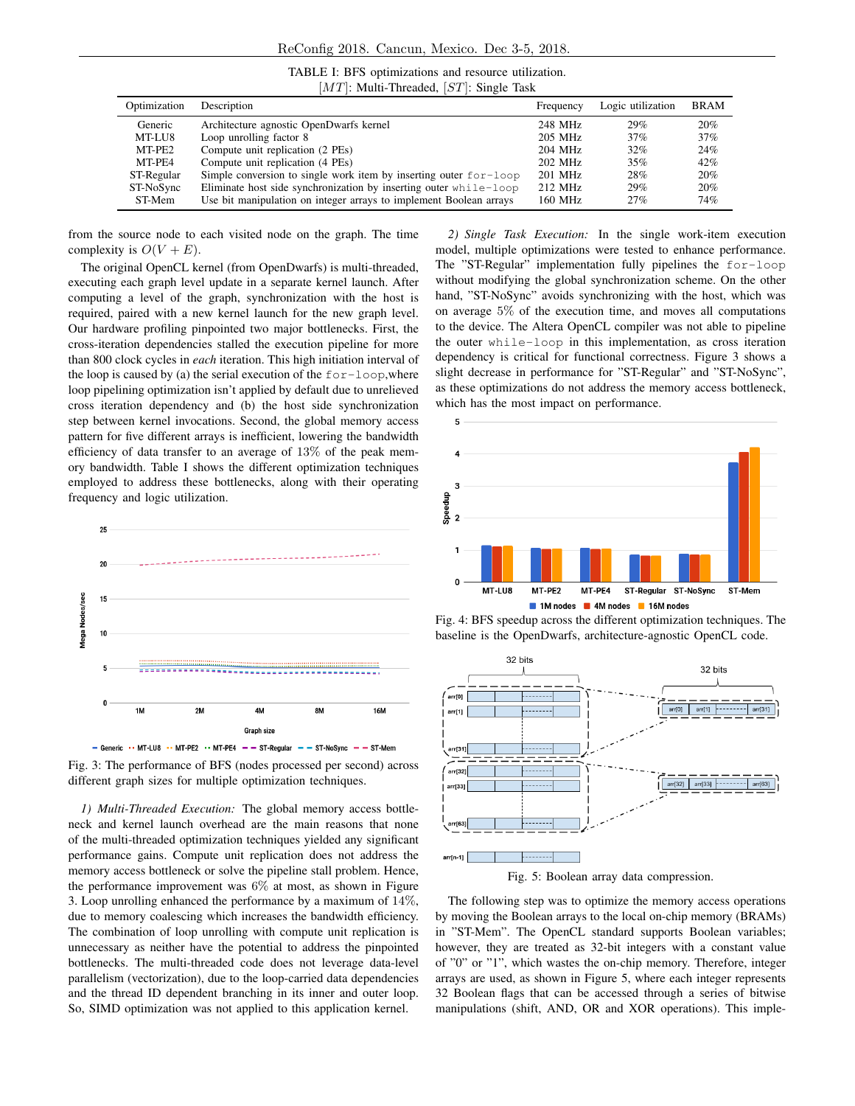| TABLE I: BFS optimizations and resource utilization. |  |
|------------------------------------------------------|--|
| $[MT]$ : Multi-Threaded, $[ST]$ : Single Task        |  |

| Optimization | Description                                                         | Frequency | Logic utilization | <b>BRAM</b> |
|--------------|---------------------------------------------------------------------|-----------|-------------------|-------------|
| Generic      | Architecture agnostic OpenDwarfs kernel                             | 248 MHz   | 29%               | 20%         |
| MT-LU8       | Loop unrolling factor 8                                             | 205 MHz   | 37%               | 37%         |
| MT-PE2       | Compute unit replication (2 PEs)                                    | 204 MHz   | 32%               | 24%         |
| MT-PE4       | Compute unit replication (4 PEs)                                    | 202 MHz   | 35%               | 42%         |
| ST-Regular   | Simple conversion to single work item by inserting outer $for-loop$ | 201 MHz   | 28%               | 20%         |
| ST-NoSync    | Eliminate host side synchronization by inserting outer while-loop   | 212 MHz   | 29%               | 20%         |
| ST-Mem       | Use bit manipulation on integer arrays to implement Boolean arrays  | 160 MHz   | 27%               | 74%         |

from the source node to each visited node on the graph. The time complexity is  $O(V + E)$ .

The original OpenCL kernel (from OpenDwarfs) is multi-threaded, executing each graph level update in a separate kernel launch. After computing a level of the graph, synchronization with the host is required, paired with a new kernel launch for the new graph level. Our hardware profiling pinpointed two major bottlenecks. First, the cross-iteration dependencies stalled the execution pipeline for more than 800 clock cycles in *each* iteration. This high initiation interval of the loop is caused by (a) the serial execution of the  $for-loop, where$ loop pipelining optimization isn't applied by default due to unrelieved cross iteration dependency and (b) the host side synchronization step between kernel invocations. Second, the global memory access pattern for five different arrays is inefficient, lowering the bandwidth efficiency of data transfer to an average of 13% of the peak memory bandwidth. Table I shows the different optimization techniques employed to address these bottlenecks, along with their operating frequency and logic utilization.



Fig. 3: The performance of BFS (nodes processed per second) across different graph sizes for multiple optimization techniques.

*1) Multi-Threaded Execution:* The global memory access bottleneck and kernel launch overhead are the main reasons that none of the multi-threaded optimization techniques yielded any significant performance gains. Compute unit replication does not address the memory access bottleneck or solve the pipeline stall problem. Hence, the performance improvement was 6% at most, as shown in Figure 3. Loop unrolling enhanced the performance by a maximum of  $14\%$ , due to memory coalescing which increases the bandwidth efficiency. The combination of loop unrolling with compute unit replication is unnecessary as neither have the potential to address the pinpointed bottlenecks. The multi-threaded code does not leverage data-level parallelism (vectorization), due to the loop-carried data dependencies and the thread ID dependent branching in its inner and outer loop. So, SIMD optimization was not applied to this application kernel.

*2) Single Task Execution:* In the single work-item execution model, multiple optimizations were tested to enhance performance. The "ST-Regular" implementation fully pipelines the for-loop without modifying the global synchronization scheme. On the other hand, "ST-NoSync" avoids synchronizing with the host, which was on average 5% of the execution time, and moves all computations to the device. The Altera OpenCL compiler was not able to pipeline the outer while-loop in this implementation, as cross iteration dependency is critical for functional correctness. Figure 3 shows a slight decrease in performance for "ST-Regular" and "ST-NoSync", as these optimizations do not address the memory access bottleneck, which has the most impact on performance.



Fig. 4: BFS speedup across the different optimization techniques. The baseline is the OpenDwarfs, architecture-agnostic OpenCL code.



Fig. 5: Boolean array data compression.

The following step was to optimize the memory access operations by moving the Boolean arrays to the local on-chip memory (BRAMs) in "ST-Mem". The OpenCL standard supports Boolean variables; however, they are treated as 32-bit integers with a constant value of "0" or "1", which wastes the on-chip memory. Therefore, integer arrays are used, as shown in Figure 5, where each integer represents 32 Boolean flags that can be accessed through a series of bitwise manipulations (shift, AND, OR and XOR operations). This imple-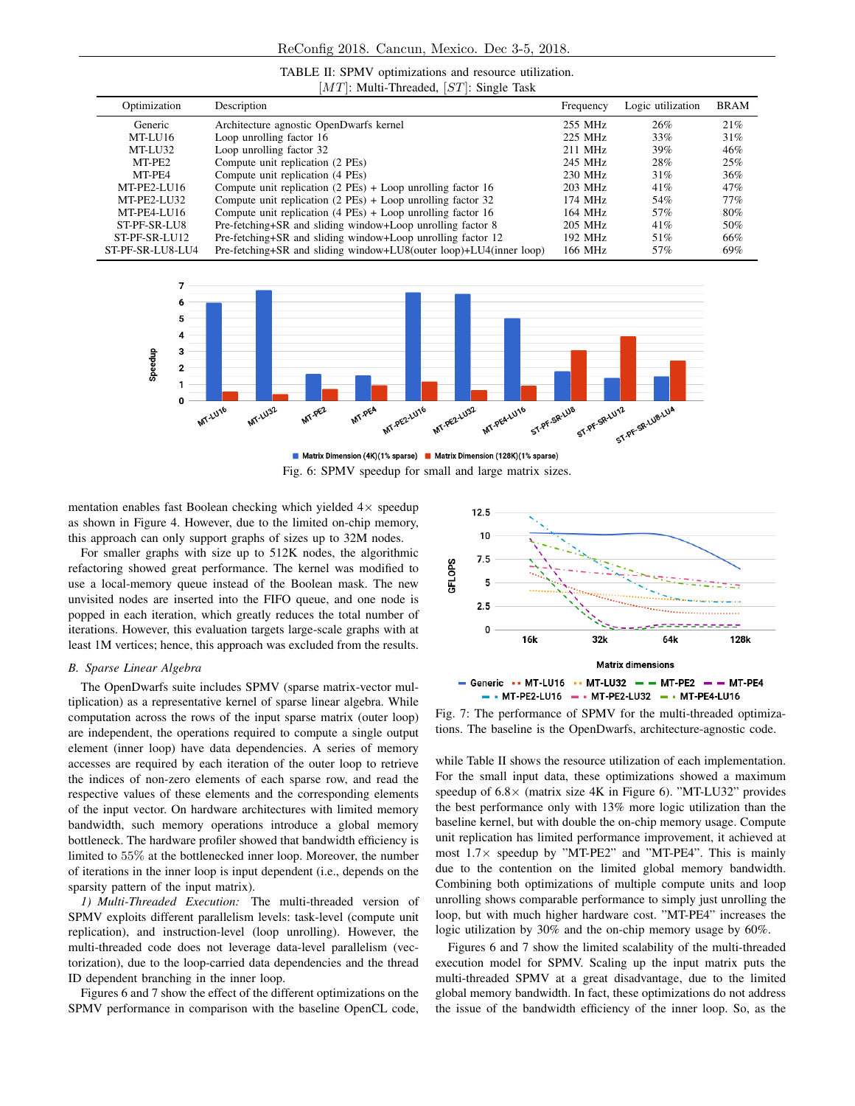| TABLE II: SPMV optimizations and resource utilization. |  |  |
|--------------------------------------------------------|--|--|
| $[MT]$ : Multi-Threaded, $[ST]$ : Single Task          |  |  |

| Optimization     | Description                                                        | Frequency | Logic utilization | <b>BRAM</b> |
|------------------|--------------------------------------------------------------------|-----------|-------------------|-------------|
| Generic          | Architecture agnostic OpenDwarfs kernel                            | 255 MHz   | 26%               | 21%         |
| MT-LU16          | Loop unrolling factor 16                                           | 225 MHz   | 33%               | 31%         |
| MT-LU32          | Loop unrolling factor 32                                           | 211 MHz   | 39%               | 46%         |
| MT-PE2           | Compute unit replication (2 PEs)                                   | 245 MHz   | 28%               | 25%         |
| MT-PE4           | Compute unit replication (4 PEs)                                   | 230 MHz   | 31%               | 36%         |
| MT-PE2-LU16      | Compute unit replication $(2$ PEs) + Loop unrolling factor 16      | 203 MHz   | 41%               | 47%         |
| MT-PE2-LU32      | Compute unit replication $(2$ PEs) + Loop unrolling factor 32      | 174 MHz   | 54%               | 77%         |
| MT-PE4-LU16      | Compute unit replication $(4$ PEs $)$ + Loop unrolling factor 16   | 164 MHz   | 57%               | 80%         |
| ST-PF-SR-LU8     | Pre-fetching+SR and sliding window+Loop unrolling factor 8         | 205 MHz   | 41%               | 50%         |
| $ST-PF-SR-LU12$  | Pre-fetching+SR and sliding window+Loop unrolling factor 12        | 192 MHz   | 51%               | 66%         |
| ST-PF-SR-LU8-LU4 | Pre-fetching+SR and sliding window+LU8(outer loop)+LU4(inner loop) | 166 MHz   | 57%               | 69%         |



■ Matrix Dimension (4K)(1% sparse) ■ Matrix Dimension (128K)(1% sparse) Fig. 6: SPMV speedup for small and large matrix sizes.

mentation enables fast Boolean checking which yielded  $4\times$  speedup as shown in Figure 4. However, due to the limited on-chip memory, this approach can only support graphs of sizes up to 32M nodes.

For smaller graphs with size up to 512K nodes, the algorithmic refactoring showed great performance. The kernel was modified to use a local-memory queue instead of the Boolean mask. The new unvisited nodes are inserted into the FIFO queue, and one node is popped in each iteration, which greatly reduces the total number of iterations. However, this evaluation targets large-scale graphs with at least 1M vertices; hence, this approach was excluded from the results.

# *B. Sparse Linear Algebra*

The OpenDwarfs suite includes SPMV (sparse matrix-vector multiplication) as a representative kernel of sparse linear algebra. While computation across the rows of the input sparse matrix (outer loop) are independent, the operations required to compute a single output element (inner loop) have data dependencies. A series of memory accesses are required by each iteration of the outer loop to retrieve the indices of non-zero elements of each sparse row, and read the respective values of these elements and the corresponding elements of the input vector. On hardware architectures with limited memory bandwidth, such memory operations introduce a global memory bottleneck. The hardware profiler showed that bandwidth efficiency is limited to 55% at the bottlenecked inner loop. Moreover, the number of iterations in the inner loop is input dependent (i.e., depends on the sparsity pattern of the input matrix).

*1) Multi-Threaded Execution:* The multi-threaded version of SPMV exploits different parallelism levels: task-level (compute unit replication), and instruction-level (loop unrolling). However, the multi-threaded code does not leverage data-level parallelism (vectorization), due to the loop-carried data dependencies and the thread ID dependent branching in the inner loop.

Figures 6 and 7 show the effect of the different optimizations on the SPMV performance in comparison with the baseline OpenCL code,



Fig. 7: The performance of SPMV for the multi-threaded optimizations. The baseline is the OpenDwarfs, architecture-agnostic code.

while Table II shows the resource utilization of each implementation. For the small input data, these optimizations showed a maximum speedup of  $6.8 \times$  (matrix size 4K in Figure 6). "MT-LU32" provides the best performance only with 13% more logic utilization than the baseline kernel, but with double the on-chip memory usage. Compute unit replication has limited performance improvement, it achieved at most  $1.7\times$  speedup by "MT-PE2" and "MT-PE4". This is mainly due to the contention on the limited global memory bandwidth. Combining both optimizations of multiple compute units and loop unrolling shows comparable performance to simply just unrolling the loop, but with much higher hardware cost. "MT-PE4" increases the logic utilization by 30% and the on-chip memory usage by 60%.

Figures 6 and 7 show the limited scalability of the multi-threaded execution model for SPMV. Scaling up the input matrix puts the multi-threaded SPMV at a great disadvantage, due to the limited global memory bandwidth. In fact, these optimizations do not address the issue of the bandwidth efficiency of the inner loop. So, as the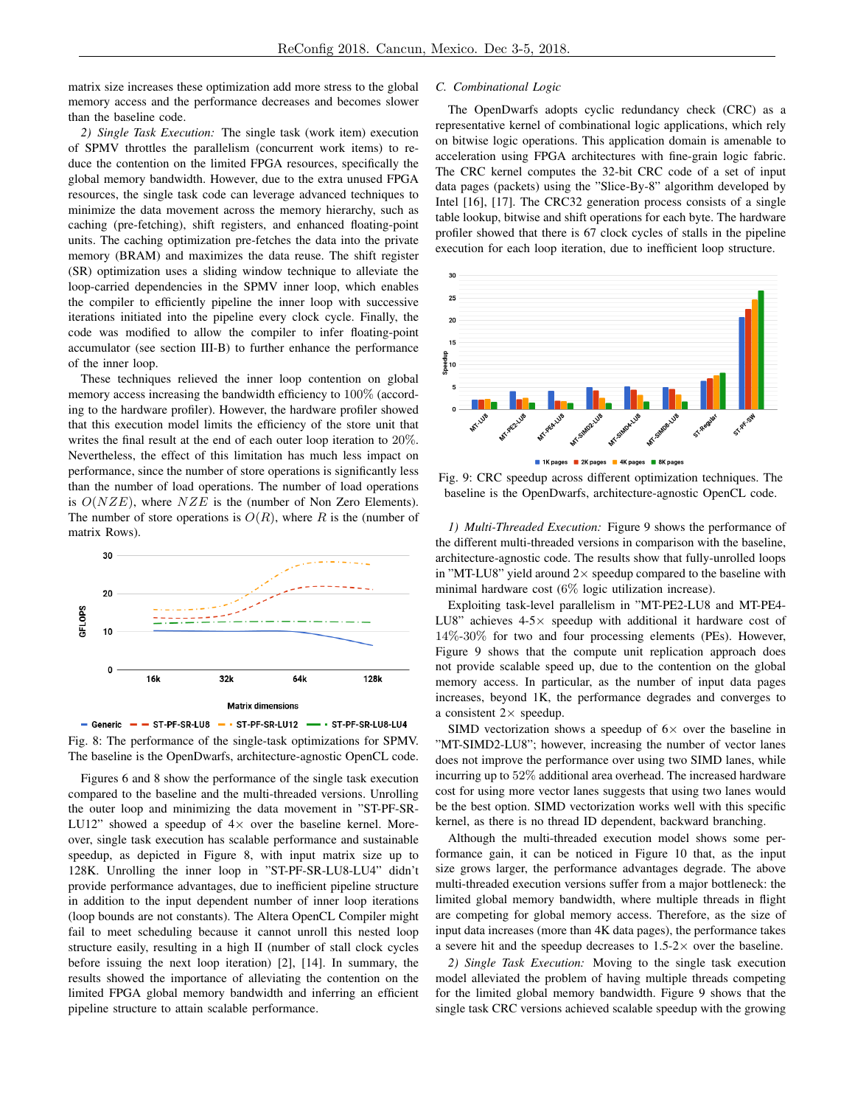matrix size increases these optimization add more stress to the global memory access and the performance decreases and becomes slower than the baseline code.

*2) Single Task Execution:* The single task (work item) execution of SPMV throttles the parallelism (concurrent work items) to reduce the contention on the limited FPGA resources, specifically the global memory bandwidth. However, due to the extra unused FPGA resources, the single task code can leverage advanced techniques to minimize the data movement across the memory hierarchy, such as caching (pre-fetching), shift registers, and enhanced floating-point units. The caching optimization pre-fetches the data into the private memory (BRAM) and maximizes the data reuse. The shift register (SR) optimization uses a sliding window technique to alleviate the loop-carried dependencies in the SPMV inner loop, which enables the compiler to efficiently pipeline the inner loop with successive iterations initiated into the pipeline every clock cycle. Finally, the code was modified to allow the compiler to infer floating-point accumulator (see section III-B) to further enhance the performance of the inner loop.

These techniques relieved the inner loop contention on global memory access increasing the bandwidth efficiency to 100% (according to the hardware profiler). However, the hardware profiler showed that this execution model limits the efficiency of the store unit that writes the final result at the end of each outer loop iteration to 20%. Nevertheless, the effect of this limitation has much less impact on performance, since the number of store operations is significantly less than the number of load operations. The number of load operations is  $O(NZE)$ , where  $NZE$  is the (number of Non Zero Elements). The number of store operations is  $O(R)$ , where R is the (number of matrix Rows).





Figures 6 and 8 show the performance of the single task execution compared to the baseline and the multi-threaded versions. Unrolling the outer loop and minimizing the data movement in "ST-PF-SR-LU12" showed a speedup of  $4\times$  over the baseline kernel. Moreover, single task execution has scalable performance and sustainable speedup, as depicted in Figure 8, with input matrix size up to 128K. Unrolling the inner loop in "ST-PF-SR-LU8-LU4" didn't provide performance advantages, due to inefficient pipeline structure in addition to the input dependent number of inner loop iterations (loop bounds are not constants). The Altera OpenCL Compiler might fail to meet scheduling because it cannot unroll this nested loop structure easily, resulting in a high II (number of stall clock cycles before issuing the next loop iteration) [2], [14]. In summary, the results showed the importance of alleviating the contention on the limited FPGA global memory bandwidth and inferring an efficient pipeline structure to attain scalable performance.

#### *C. Combinational Logic*

The OpenDwarfs adopts cyclic redundancy check (CRC) as a representative kernel of combinational logic applications, which rely on bitwise logic operations. This application domain is amenable to acceleration using FPGA architectures with fine-grain logic fabric. The CRC kernel computes the 32-bit CRC code of a set of input data pages (packets) using the "Slice-By-8" algorithm developed by Intel [16], [17]. The CRC32 generation process consists of a single table lookup, bitwise and shift operations for each byte. The hardware profiler showed that there is 67 clock cycles of stalls in the pipeline execution for each loop iteration, due to inefficient loop structure.



8K pages

Fig. 9: CRC speedup across different optimization techniques. The baseline is the OpenDwarfs, architecture-agnostic OpenCL code.

*1) Multi-Threaded Execution:* Figure 9 shows the performance of the different multi-threaded versions in comparison with the baseline, architecture-agnostic code. The results show that fully-unrolled loops in "MT-LU8" yield around  $2 \times$  speedup compared to the baseline with minimal hardware cost (6% logic utilization increase).

Exploiting task-level parallelism in "MT-PE2-LU8 and MT-PE4- LU8" achieves  $4-5\times$  speedup with additional it hardware cost of 14%-30% for two and four processing elements (PEs). However, Figure 9 shows that the compute unit replication approach does not provide scalable speed up, due to the contention on the global memory access. In particular, as the number of input data pages increases, beyond 1K, the performance degrades and converges to a consistent  $2 \times$  speedup.

SIMD vectorization shows a speedup of  $6\times$  over the baseline in "MT-SIMD2-LU8"; however, increasing the number of vector lanes does not improve the performance over using two SIMD lanes, while incurring up to 52% additional area overhead. The increased hardware cost for using more vector lanes suggests that using two lanes would be the best option. SIMD vectorization works well with this specific kernel, as there is no thread ID dependent, backward branching.

Although the multi-threaded execution model shows some performance gain, it can be noticed in Figure 10 that, as the input size grows larger, the performance advantages degrade. The above multi-threaded execution versions suffer from a major bottleneck: the limited global memory bandwidth, where multiple threads in flight are competing for global memory access. Therefore, as the size of input data increases (more than 4K data pages), the performance takes a severe hit and the speedup decreases to  $1.5-2\times$  over the baseline.

*2) Single Task Execution:* Moving to the single task execution model alleviated the problem of having multiple threads competing for the limited global memory bandwidth. Figure 9 shows that the single task CRC versions achieved scalable speedup with the growing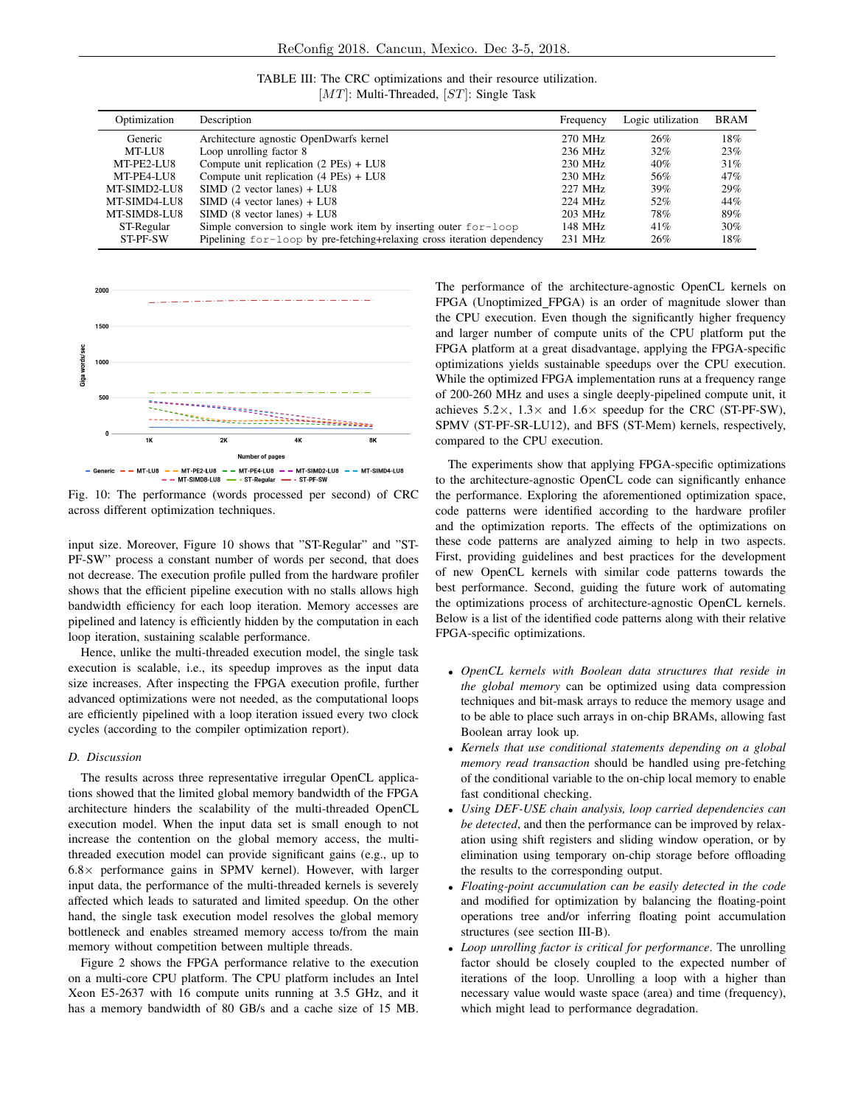| TABLE III: The CRC optimizations and their resource utilization. |  |
|------------------------------------------------------------------|--|
| $[MT]$ : Multi-Threaded, $[ST]$ : Single Task                    |  |

| Optimization | Description                                                             | Frequency | Logic utilization | <b>BRAM</b> |
|--------------|-------------------------------------------------------------------------|-----------|-------------------|-------------|
| Generic      | Architecture agnostic OpenDwarfs kernel                                 | 270 MHz   | 26%               | 18%         |
| MT-LU8       | Loop unrolling factor 8                                                 | 236 MHz   | 32%               | 23%         |
| MT-PE2-LU8   | Compute unit replication $(2$ PEs $)$ + LU8                             | 230 MHz   | 40%               | 31%         |
| MT-PE4-LU8   | Compute unit replication $(4$ PEs $)$ + LU8                             | 230 MHz   | 56%               | 47%         |
| MT-SIMD2-LU8 | $SIMD$ (2 vector lanes) + LU8                                           | 227 MHz   | 39%               | 29%         |
| MT-SIMD4-LU8 | $SIMD$ (4 vector lanes) + $LU8$                                         | 224 MHz   | 52%               | 44%         |
| MT-SIMD8-LU8 | $SIMD (8 vector lanes) + LU8$                                           | 203 MHz   | 78%               | 89%         |
| ST-Regular   | Simple conversion to single work item by inserting outer $for-loop$     | 148 MHz   | 41%               | $30\%$      |
| ST-PF-SW     | Pipelining for-loop by pre-fetching+relaxing cross iteration dependency | 231 MHz   | 26%               | 18%         |



Fig. 10: The performance (words processed per second) of CRC across different optimization techniques.

input size. Moreover, Figure 10 shows that "ST-Regular" and "ST-PF-SW" process a constant number of words per second, that does not decrease. The execution profile pulled from the hardware profiler shows that the efficient pipeline execution with no stalls allows high bandwidth efficiency for each loop iteration. Memory accesses are pipelined and latency is efficiently hidden by the computation in each loop iteration, sustaining scalable performance.

Hence, unlike the multi-threaded execution model, the single task execution is scalable, i.e., its speedup improves as the input data size increases. After inspecting the FPGA execution profile, further advanced optimizations were not needed, as the computational loops are efficiently pipelined with a loop iteration issued every two clock cycles (according to the compiler optimization report).

# *D. Discussion*

The results across three representative irregular OpenCL applications showed that the limited global memory bandwidth of the FPGA architecture hinders the scalability of the multi-threaded OpenCL execution model. When the input data set is small enough to not increase the contention on the global memory access, the multithreaded execution model can provide significant gains (e.g., up to  $6.8\times$  performance gains in SPMV kernel). However, with larger input data, the performance of the multi-threaded kernels is severely affected which leads to saturated and limited speedup. On the other hand, the single task execution model resolves the global memory bottleneck and enables streamed memory access to/from the main memory without competition between multiple threads.

Figure 2 shows the FPGA performance relative to the execution on a multi-core CPU platform. The CPU platform includes an Intel Xeon E5-2637 with 16 compute units running at 3.5 GHz, and it has a memory bandwidth of 80 GB/s and a cache size of 15 MB. The performance of the architecture-agnostic OpenCL kernels on FPGA (Unoptimized FPGA) is an order of magnitude slower than the CPU execution. Even though the significantly higher frequency and larger number of compute units of the CPU platform put the FPGA platform at a great disadvantage, applying the FPGA-specific optimizations yields sustainable speedups over the CPU execution. While the optimized FPGA implementation runs at a frequency range of 200-260 MHz and uses a single deeply-pipelined compute unit, it achieves  $5.2 \times$ ,  $1.3 \times$  and  $1.6 \times$  speedup for the CRC (ST-PF-SW), SPMV (ST-PF-SR-LU12), and BFS (ST-Mem) kernels, respectively, compared to the CPU execution.

The experiments show that applying FPGA-specific optimizations to the architecture-agnostic OpenCL code can significantly enhance the performance. Exploring the aforementioned optimization space, code patterns were identified according to the hardware profiler and the optimization reports. The effects of the optimizations on these code patterns are analyzed aiming to help in two aspects. First, providing guidelines and best practices for the development of new OpenCL kernels with similar code patterns towards the best performance. Second, guiding the future work of automating the optimizations process of architecture-agnostic OpenCL kernels. Below is a list of the identified code patterns along with their relative FPGA-specific optimizations.

- *OpenCL kernels with Boolean data structures that reside in the global memory* can be optimized using data compression techniques and bit-mask arrays to reduce the memory usage and to be able to place such arrays in on-chip BRAMs, allowing fast Boolean array look up.
- *Kernels that use conditional statements depending on a global memory read transaction* should be handled using pre-fetching of the conditional variable to the on-chip local memory to enable fast conditional checking.
- *Using DEF-USE chain analysis, loop carried dependencies can be detected*, and then the performance can be improved by relaxation using shift registers and sliding window operation, or by elimination using temporary on-chip storage before offloading the results to the corresponding output.
- *Floating-point accumulation can be easily detected in the code* and modified for optimization by balancing the floating-point operations tree and/or inferring floating point accumulation structures (see section III-B).
- *Loop unrolling factor is critical for performance*. The unrolling factor should be closely coupled to the expected number of iterations of the loop. Unrolling a loop with a higher than necessary value would waste space (area) and time (frequency), which might lead to performance degradation.